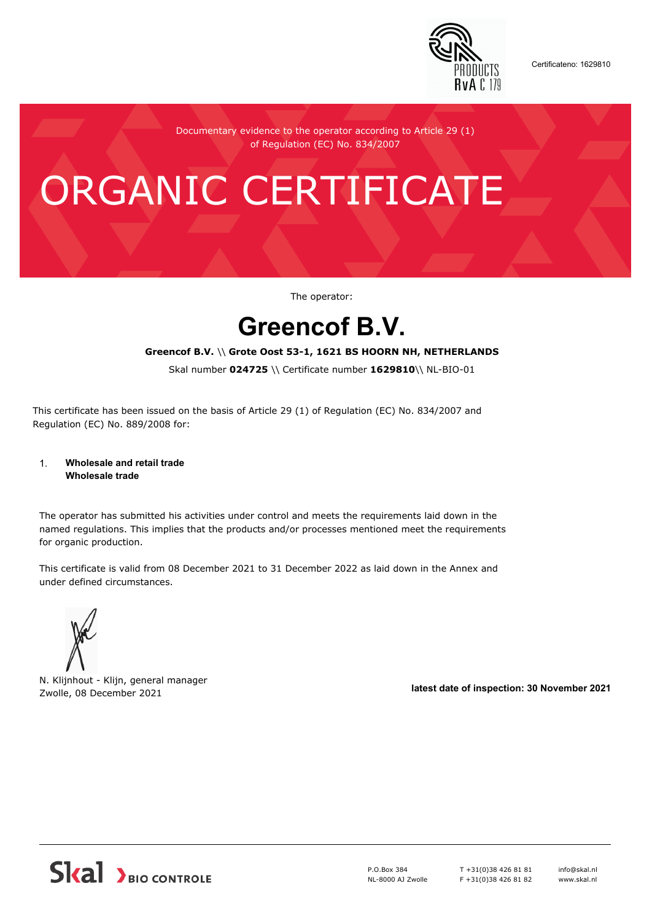

Certificateno: 1629810

Documentary evidence to the operator according to Article 29 (1) of Regulation (EC) No. 834/2007

# ORGANIC CERTIFICATE

The operator:

## **Greencof B.V.**

#### **Greencof B.V.** \\ **Grote Oost 53-1, 1621 BS HOORN NH, NETHERLANDS**

Skal number **024725** \\ Certificate number **1629810**\\ NL-BIO-01

This certificate has been issued on the basis of Article 29 (1) of Regulation (EC) No. 834/2007 and Regulation (EC) No. 889/2008 for:

#### 1. **Wholesale and retail trade Wholesale trade**

The operator has submitted his activities under control and meets the requirements laid down in the named regulations. This implies that the products and/or processes mentioned meet the requirements for organic production.

This certificate is valid from 08 December 2021 to 31 December 2022 as laid down in the Annex and under defined circumstances.



N. Klijnhout - Klijn, general manager Zwolle, 08 December 2021 **latest date of inspection: 30 November 2021**



P.O.Box 384 NL-8000 AJ Zwolle T +31(0)38 426 81 81 F +31(0)38 426 81 82